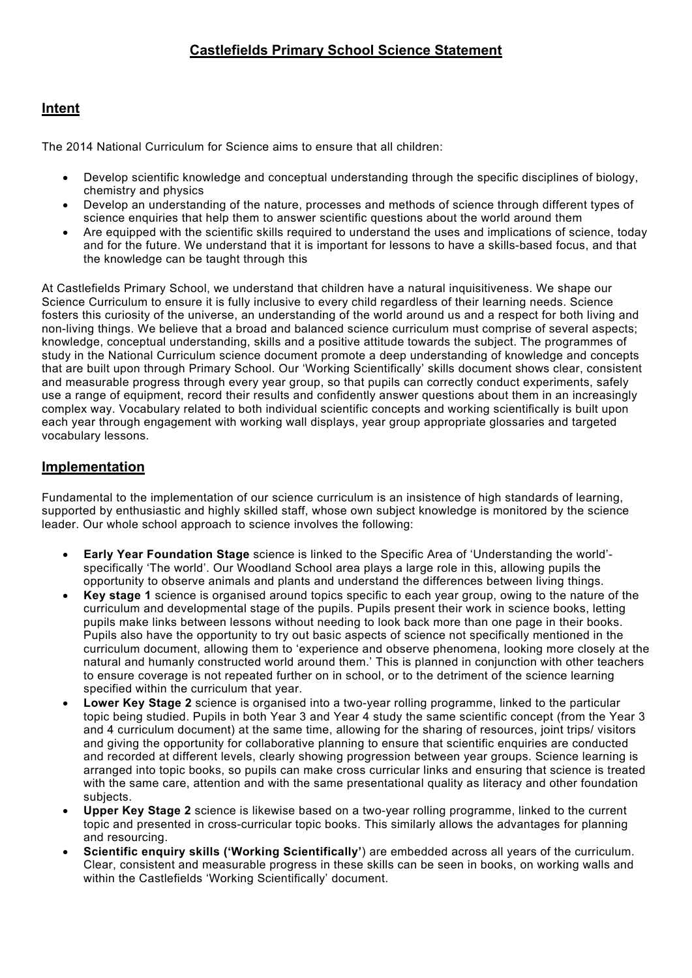## **Intent**

The 2014 National Curriculum for Science aims to ensure that all children:

- Develop scientific knowledge and conceptual understanding through the specific disciplines of biology, chemistry and physics
- Develop an understanding of the nature, processes and methods of science through different types of science enquiries that help them to answer scientific questions about the world around them
- Are equipped with the scientific skills required to understand the uses and implications of science, today and for the future. We understand that it is important for lessons to have a skills-based focus, and that the knowledge can be taught through this

At Castlefields Primary School, we understand that children have a natural inquisitiveness. We shape our Science Curriculum to ensure it is fully inclusive to every child regardless of their learning needs. Science fosters this curiosity of the universe, an understanding of the world around us and a respect for both living and non-living things. We believe that a broad and balanced science curriculum must comprise of several aspects; knowledge, conceptual understanding, skills and a positive attitude towards the subject. The programmes of study in the National Curriculum science document promote a deep understanding of knowledge and concepts that are built upon through Primary School. Our 'Working Scientifically' skills document shows clear, consistent and measurable progress through every year group, so that pupils can correctly conduct experiments, safely use a range of equipment, record their results and confidently answer questions about them in an increasingly complex way. Vocabulary related to both individual scientific concepts and working scientifically is built upon each year through engagement with working wall displays, year group appropriate glossaries and targeted vocabulary lessons.

## **Implementation**

Fundamental to the implementation of our science curriculum is an insistence of high standards of learning, supported by enthusiastic and highly skilled staff, whose own subject knowledge is monitored by the science leader. Our whole school approach to science involves the following:

- **Early Year Foundation Stage** science is linked to the Specific Area of 'Understanding the world' specifically 'The world'. Our Woodland School area plays a large role in this, allowing pupils the opportunity to observe animals and plants and understand the differences between living things.
- **Key stage 1** science is organised around topics specific to each year group, owing to the nature of the curriculum and developmental stage of the pupils. Pupils present their work in science books, letting pupils make links between lessons without needing to look back more than one page in their books. Pupils also have the opportunity to try out basic aspects of science not specifically mentioned in the curriculum document, allowing them to 'experience and observe phenomena, looking more closely at the natural and humanly constructed world around them.' This is planned in conjunction with other teachers to ensure coverage is not repeated further on in school, or to the detriment of the science learning specified within the curriculum that year.
- **Lower Key Stage 2** science is organised into a two-year rolling programme, linked to the particular topic being studied. Pupils in both Year 3 and Year 4 study the same scientific concept (from the Year 3 and 4 curriculum document) at the same time, allowing for the sharing of resources, joint trips/ visitors and giving the opportunity for collaborative planning to ensure that scientific enquiries are conducted and recorded at different levels, clearly showing progression between year groups. Science learning is arranged into topic books, so pupils can make cross curricular links and ensuring that science is treated with the same care, attention and with the same presentational quality as literacy and other foundation subjects.
- **Upper Key Stage 2** science is likewise based on a two-year rolling programme, linked to the current topic and presented in cross-curricular topic books. This similarly allows the advantages for planning and resourcing.
- **Scientific enquiry skills ('Working Scientifically'**) are embedded across all years of the curriculum. Clear, consistent and measurable progress in these skills can be seen in books, on working walls and within the Castlefields 'Working Scientifically' document.